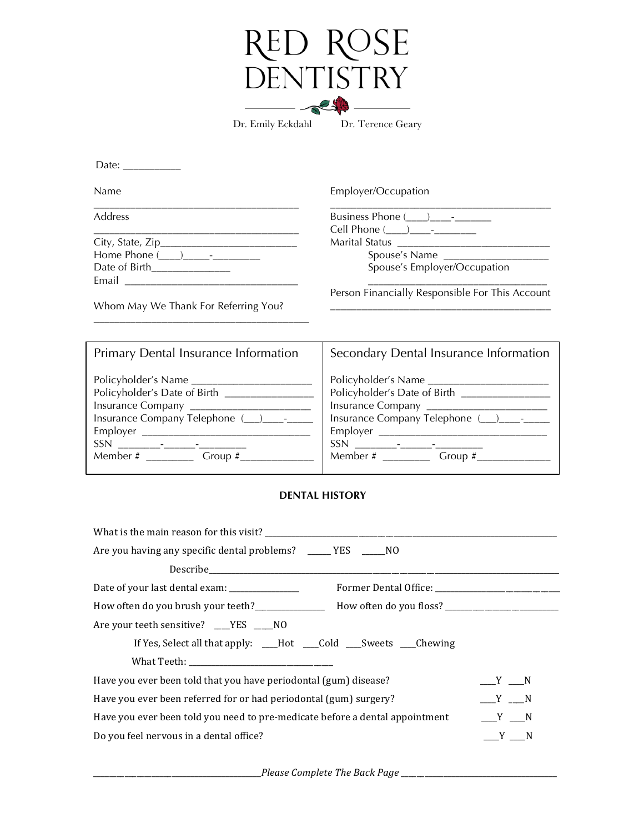| → ┃ →             |                   |
|-------------------|-------------------|
| N I ISTE<br>H   \ |                   |
|                   |                   |
| Dr. Emily Eckdahl | Dr. Terence Geary |

| Date:                                         |                                                                                                                                                                          |
|-----------------------------------------------|--------------------------------------------------------------------------------------------------------------------------------------------------------------------------|
| Name                                          | Employer/Occupation                                                                                                                                                      |
| Address                                       | Business Phone (____)___________<br>Cell Phone (____)_____-________                                                                                                      |
|                                               |                                                                                                                                                                          |
|                                               | Spouse's Name                                                                                                                                                            |
| Date of Birth______________                   | Spouse's Employer/Occupation                                                                                                                                             |
|                                               |                                                                                                                                                                          |
| Whom May We Thank For Referring You?          | Person Financially Responsible For This Account<br><u> 1989 - Johann John Stone, mars eta biztanleria eta biztanleria eta biztanleria eta biztanleria eta biztanleri</u> |
| Primary Dental Insurance Information          | Secondary Dental Insurance Information                                                                                                                                   |
|                                               |                                                                                                                                                                          |
| Policyholder's Date of Birth ________________ | Policyholder's Date of Birth __________________                                                                                                                          |
| Insurance Company _______________________     | Insurance Company ________________________                                                                                                                               |
| Insurance Company Telephone (__)____-____     | Insurance Company Telephone (__)____-____                                                                                                                                |
|                                               |                                                                                                                                                                          |
|                                               |                                                                                                                                                                          |
| Member # ______________ Group #__________     | Member $\#$ Group $\#$                                                                                                                                                   |
|                                               |                                                                                                                                                                          |

## **DENTAL HISTORY**

| What is the main reason for this visit?                                                              |         |  |  |
|------------------------------------------------------------------------------------------------------|---------|--|--|
| Are you having any specific dental problems? _____ YES _____NO                                       |         |  |  |
|                                                                                                      |         |  |  |
| Date of your last dental exam: _______________                                                       |         |  |  |
| How often do you brush your teeth?______________ How often do you floss? ___________________________ |         |  |  |
| Are your teeth sensitive? __YES __NO                                                                 |         |  |  |
| If Yes, Select all that apply: __Hot __Cold __Sweets __Chewing                                       |         |  |  |
|                                                                                                      |         |  |  |
| Have you ever been told that you have periodontal (gum) disease?                                     | $Y = N$ |  |  |
| Have you ever been referred for or had periodontal (gum) surgery?                                    | $Y = N$ |  |  |
| Have you ever been told you need to pre-medicate before a dental appointment                         | $Y = N$ |  |  |
| Do you feel nervous in a dental office?                                                              | $Y$ N   |  |  |

\_\_\_\_\_\_\_\_\_\_\_\_\_\_\_\_\_\_\_\_\_\_\_\_\_\_\_\_\_\_\_\_\_\_\_\_\_\_\_\_\_\_\_*Please Complete The Back Page* \_\_\_\_\_\_\_\_\_\_\_\_\_\_\_\_\_\_\_\_\_\_\_\_\_\_\_\_\_\_\_\_\_\_\_\_\_\_\_\_